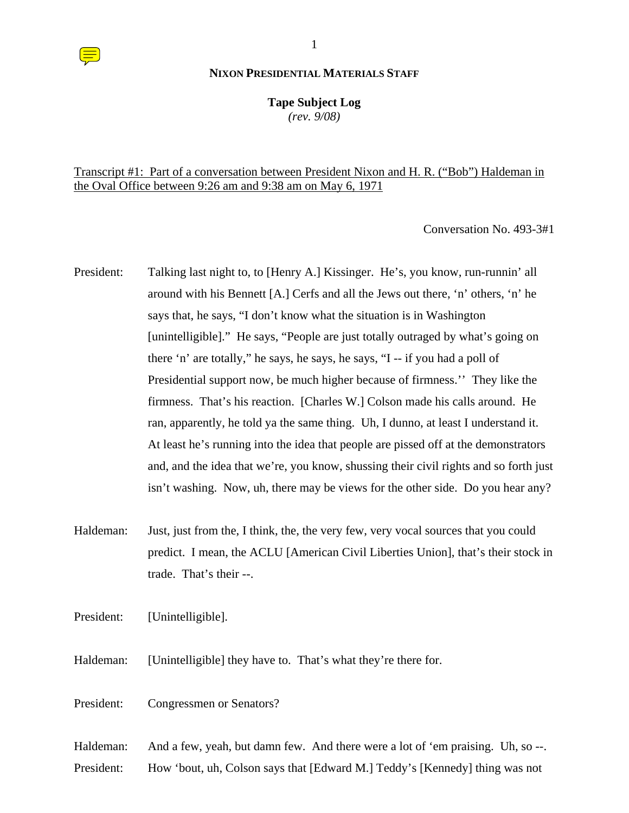**Tape Subject Log**

*(rev. 9/08)*

# Transcript #1: Part of a conversation between President Nixon and H. R. ("Bob") Haldeman in the Oval Office between 9:26 am and 9:38 am on May 6, 1971

Conversation No. 493-3#1

- President: Talking last night to, to [Henry A.] Kissinger. He's, you know, run-runnin' all around with his Bennett [A.] Cerfs and all the Jews out there, 'n' others, 'n' he says that, he says, "I don't know what the situation is in Washington [unintelligible]." He says, "People are just totally outraged by what's going on there 'n' are totally," he says, he says, he says, "I -- if you had a poll of Presidential support now, be much higher because of firmness.'' They like the firmness. That's his reaction. [Charles W.] Colson made his calls around. He ran, apparently, he told ya the same thing. Uh, I dunno, at least I understand it. At least he's running into the idea that people are pissed off at the demonstrators and, and the idea that we're, you know, shussing their civil rights and so forth just isn't washing. Now, uh, there may be views for the other side. Do you hear any?
- Haldeman: Just, just from the, I think, the, the very few, very vocal sources that you could predict. I mean, the ACLU [American Civil Liberties Union], that's their stock in trade. That's their --.

President: [Unintelligible].

Haldeman: [Unintelligible] they have to. That's what they're there for.

President: Congressmen or Senators?

Haldeman: And a few, yeah, but damn few. And there were a lot of 'em praising. Uh, so --.

President: How 'bout, uh, Colson says that [Edward M.] Teddy's [Kennedy] thing was not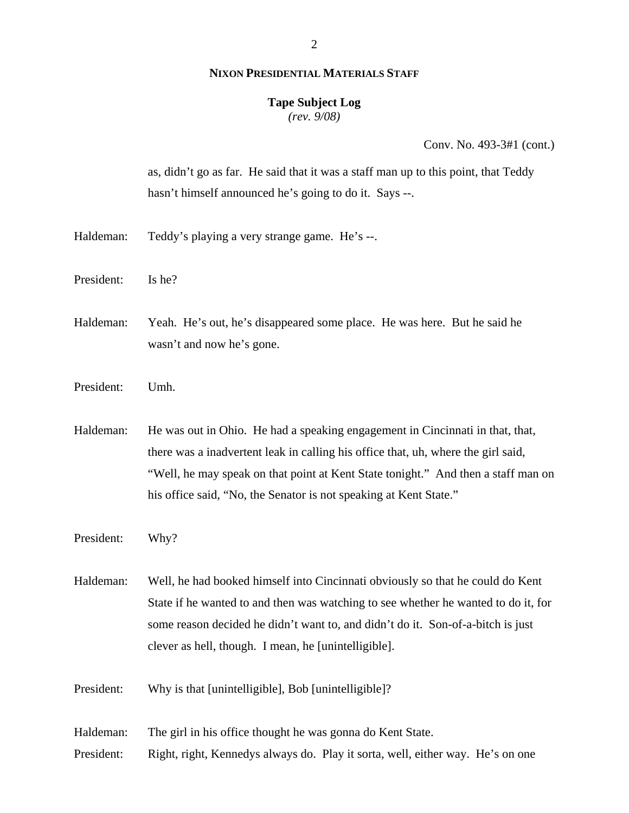# **Tape Subject Log**

*(rev. 9/08)*

Conv. No. 493-3#1 (cont.)

as, didn't go as far. He said that it was a staff man up to this point, that Teddy hasn't himself announced he's going to do it. Says --.

- Haldeman: Teddy's playing a very strange game. He's --.
- President: Is he?

Haldeman: Yeah. He's out, he's disappeared some place. He was here. But he said he wasn't and now he's gone.

President: Umh.

Haldeman: He was out in Ohio. He had a speaking engagement in Cincinnati in that, that, there was a inadvertent leak in calling his office that, uh, where the girl said, "Well, he may speak on that point at Kent State tonight." And then a staff man on his office said, "No, the Senator is not speaking at Kent State."

President: Why?

Haldeman: Well, he had booked himself into Cincinnati obviously so that he could do Kent State if he wanted to and then was watching to see whether he wanted to do it, for some reason decided he didn't want to, and didn't do it. Son-of-a-bitch is just clever as hell, though. I mean, he [unintelligible].

President: Why is that [unintelligible], Bob [unintelligible]?

Haldeman: The girl in his office thought he was gonna do Kent State.

President: Right, right, Kennedys always do. Play it sorta, well, either way. He's on one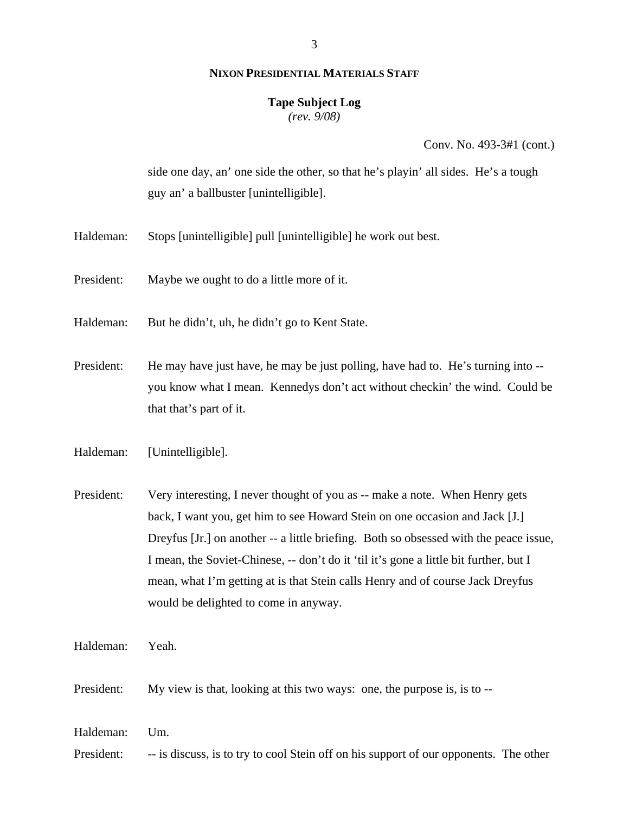#### **Tape Subject Log**

*(rev. 9/08)*

Conv. No. 493-3#1 (cont.)

side one day, an' one side the other, so that he's playin' all sides. He's a tough guy an' a ballbuster [unintelligible].

- Haldeman: Stops [unintelligible] pull [unintelligible] he work out best.
- President: Maybe we ought to do a little more of it.
- Haldeman: But he didn't, uh, he didn't go to Kent State.
- President: He may have just have, he may be just polling, have had to. He's turning into -you know what I mean. Kennedys don't act without checkin' the wind. Could be that that's part of it.
- Haldeman: [Unintelligible].
- President: Very interesting, I never thought of you as -- make a note. When Henry gets back, I want you, get him to see Howard Stein on one occasion and Jack [J.] Dreyfus [Jr.] on another -- a little briefing. Both so obsessed with the peace issue, I mean, the Soviet-Chinese, -- don't do it 'til it's gone a little bit further, but I mean, what I'm getting at is that Stein calls Henry and of course Jack Dreyfus would be delighted to come in anyway.
- Haldeman: Yeah.
- President: My view is that, looking at this two ways: one, the purpose is, is to --
- Haldeman: Um.

President: -- is discuss, is to try to cool Stein off on his support of our opponents. The other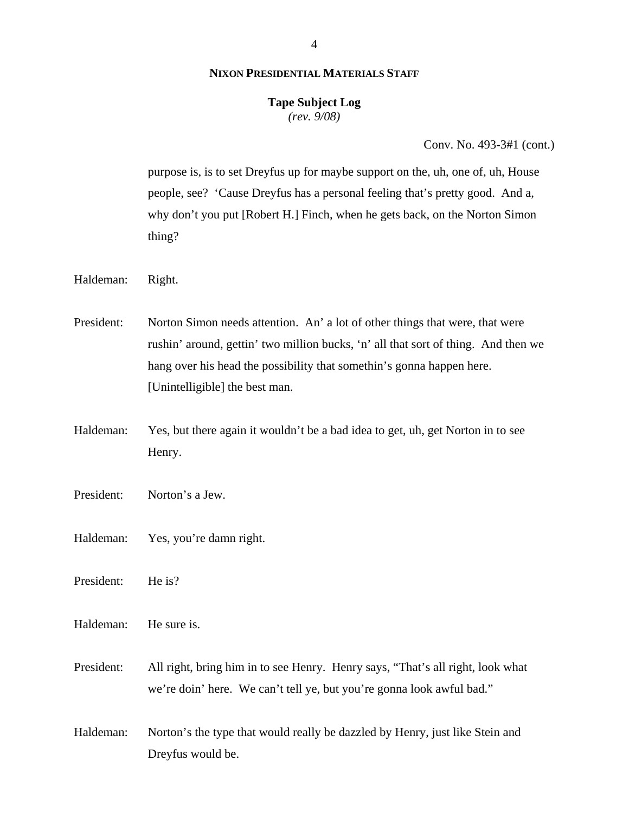# **Tape Subject Log**

*(rev. 9/08)*

Conv. No. 493-3#1 (cont.)

purpose is, is to set Dreyfus up for maybe support on the, uh, one of, uh, House people, see? 'Cause Dreyfus has a personal feeling that's pretty good. And a, why don't you put [Robert H.] Finch, when he gets back, on the Norton Simon thing?

Haldeman: Right.

President: Norton Simon needs attention. An' a lot of other things that were, that were rushin' around, gettin' two million bucks, 'n' all that sort of thing. And then we hang over his head the possibility that somethin's gonna happen here. [Unintelligible] the best man.

Haldeman: Yes, but there again it wouldn't be a bad idea to get, uh, get Norton in to see Henry.

President: Norton's a Jew.

Haldeman: Yes, you're damn right.

President: He is?

Haldeman: He sure is.

President: All right, bring him in to see Henry. Henry says, "That's all right, look what we're doin' here. We can't tell ye, but you're gonna look awful bad."

Haldeman: Norton's the type that would really be dazzled by Henry, just like Stein and Dreyfus would be.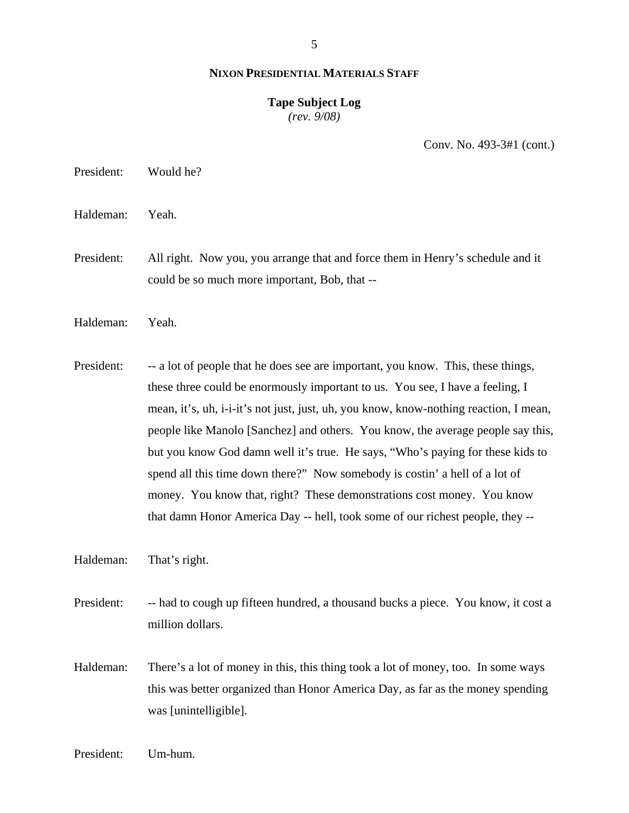5

#### **NIXON PRESIDENTIAL MATERIALS STAFF**

### **Tape Subject Log** *(rev. 9/08)*

Conv. No. 493-3#1 (cont.)

President: Would he?

Haldeman: Yeah.

President: All right. Now you, you arrange that and force them in Henry's schedule and it could be so much more important, Bob, that --

Haldeman: Yeah.

President: -- a lot of people that he does see are important, you know. This, these things, these three could be enormously important to us. You see, I have a feeling, I mean, it's, uh, i-i-it's not just, just, uh, you know, know-nothing reaction, I mean, people like Manolo [Sanchez] and others. You know, the average people say this, but you know God damn well it's true. He says, "Who's paying for these kids to spend all this time down there?" Now somebody is costin' a hell of a lot of money. You know that, right? These demonstrations cost money. You know that damn Honor America Day -- hell, took some of our richest people, they --

Haldeman: That's right.

President: -- had to cough up fifteen hundred, a thousand bucks a piece. You know, it cost a million dollars.

Haldeman: There's a lot of money in this, this thing took a lot of money, too. In some ways this was better organized than Honor America Day, as far as the money spending was [unintelligible].

President: Um-hum.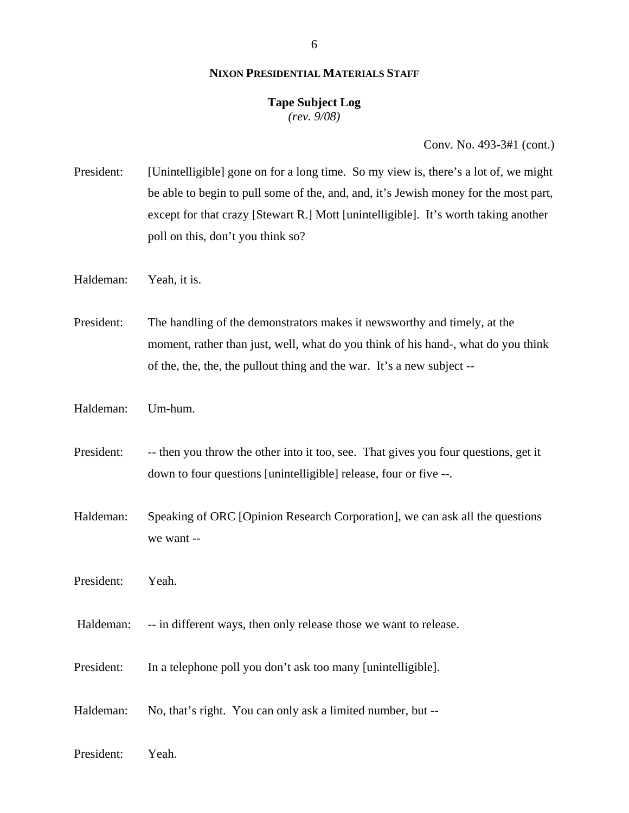### **Tape Subject Log** *(rev. 9/08)*

Conv. No. 493-3#1 (cont.)

- President: [Unintelligible] gone on for a long time. So my view is, there's a lot of, we might be able to begin to pull some of the, and, and, it's Jewish money for the most part, except for that crazy [Stewart R.] Mott [unintelligible]. It's worth taking another poll on this, don't you think so?
- Haldeman: Yeah, it is.

President: The handling of the demonstrators makes it newsworthy and timely, at the moment, rather than just, well, what do you think of his hand-, what do you think of the, the, the, the pullout thing and the war. It's a new subject --

- Haldeman: Um-hum.
- President: -- then you throw the other into it too, see. That gives you four questions, get it down to four questions [unintelligible] release, four or five --.
- Haldeman: Speaking of ORC [Opinion Research Corporation], we can ask all the questions we want --
- President: Yeah.
- Haldeman: -- in different ways, then only release those we want to release.
- President: In a telephone poll you don't ask too many [unintelligible].
- Haldeman: No, that's right. You can only ask a limited number, but --
- President: Yeah.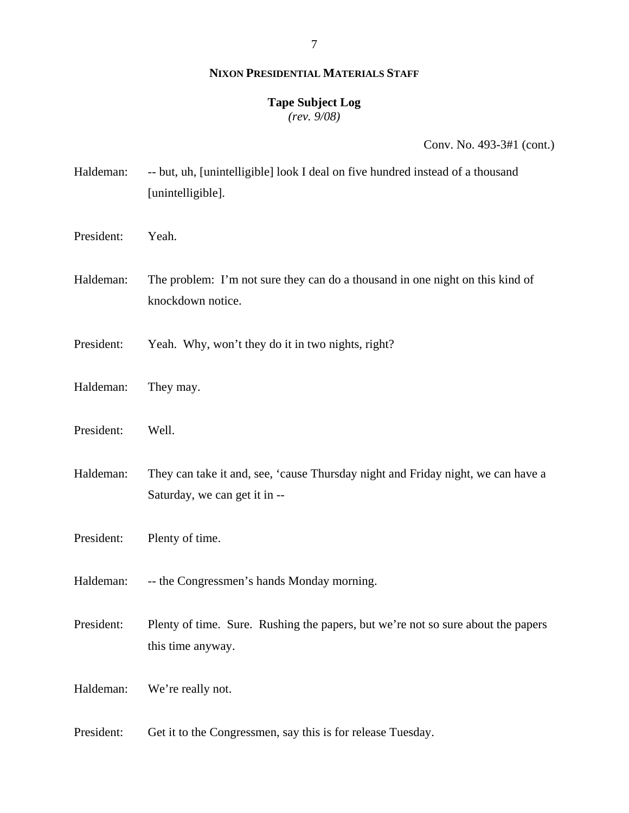# **Tape Subject Log**

*(rev. 9/08)*

Conv. No. 493-3#1 (cont.)

- Haldeman: -- but, uh, [unintelligible] look I deal on five hundred instead of a thousand [unintelligible].
- President: Yeah.
- Haldeman: The problem: I'm not sure they can do a thousand in one night on this kind of knockdown notice.
- President: Yeah. Why, won't they do it in two nights, right?
- Haldeman: They may.
- President: Well.
- Haldeman: They can take it and, see, 'cause Thursday night and Friday night, we can have a Saturday, we can get it in --
- President: Plenty of time.
- Haldeman: -- the Congressmen's hands Monday morning.
- President: Plenty of time. Sure. Rushing the papers, but we're not so sure about the papers this time anyway.
- Haldeman: We're really not.
- President: Get it to the Congressmen, say this is for release Tuesday.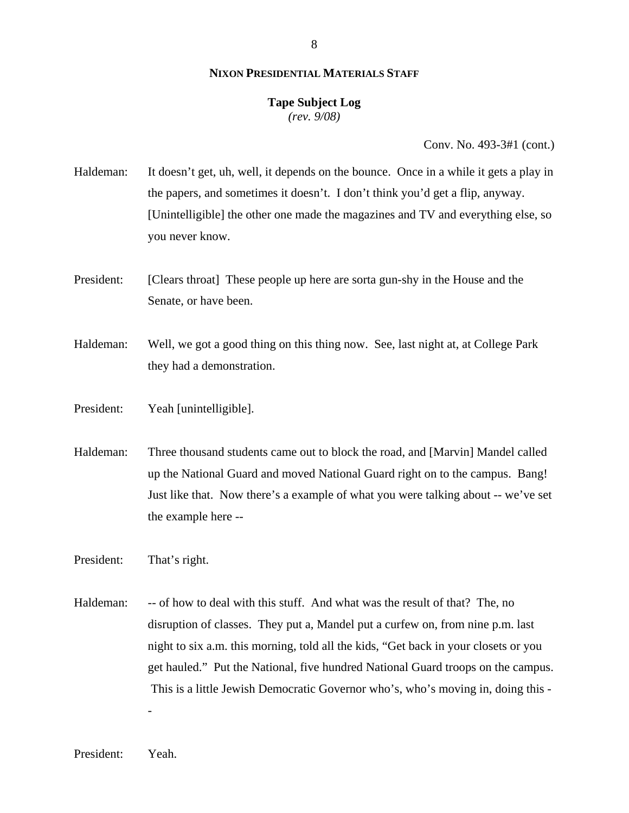# **Tape Subject Log**

*(rev. 9/08)*

Conv. No. 493-3#1 (cont.)

- Haldeman: It doesn't get, uh, well, it depends on the bounce. Once in a while it gets a play in the papers, and sometimes it doesn't. I don't think you'd get a flip, anyway. [Unintelligible] the other one made the magazines and TV and everything else, so you never know.
- President: [Clears throat] These people up here are sorta gun-shy in the House and the Senate, or have been.
- Haldeman: Well, we got a good thing on this thing now. See, last night at, at College Park they had a demonstration.
- President: Yeah [unintelligible].
- Haldeman: Three thousand students came out to block the road, and [Marvin] Mandel called up the National Guard and moved National Guard right on to the campus. Bang! Just like that. Now there's a example of what you were talking about -- we've set the example here --
- President: That's right.
- Haldeman: -- of how to deal with this stuff. And what was the result of that? The, no disruption of classes. They put a, Mandel put a curfew on, from nine p.m. last night to six a.m. this morning, told all the kids, "Get back in your closets or you get hauled." Put the National, five hundred National Guard troops on the campus. This is a little Jewish Democratic Governor who's, who's moving in, doing this -

-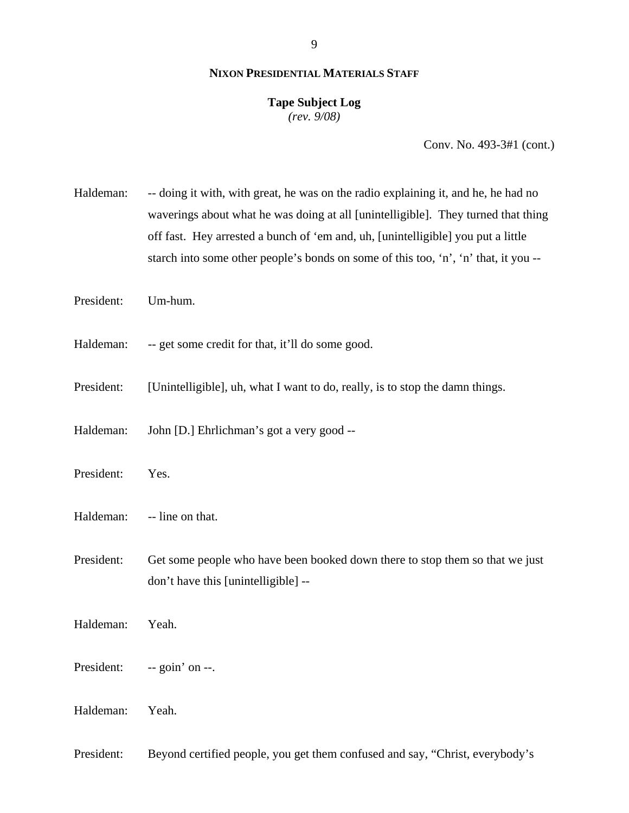# **Tape Subject Log**

*(rev. 9/08)*

Conv. No. 493-3#1 (cont.)

Haldeman: -- doing it with, with great, he was on the radio explaining it, and he, he had no waverings about what he was doing at all [unintelligible]. They turned that thing off fast. Hey arrested a bunch of 'em and, uh, [unintelligible] you put a little starch into some other people's bonds on some of this too, 'n', 'n' that, it you --

President: Um-hum.

Haldeman: -- get some credit for that, it'll do some good.

President: [Unintelligible], uh, what I want to do, really, is to stop the damn things.

Haldeman: John [D.] Ehrlichman's got a very good --

President: Yes.

Haldeman: -- line on that.

President: Get some people who have been booked down there to stop them so that we just don't have this [unintelligible] --

Haldeman: Yeah.

President: -- goin' on --.

Haldeman: Yeah.

President: Beyond certified people, you get them confused and say, "Christ, everybody's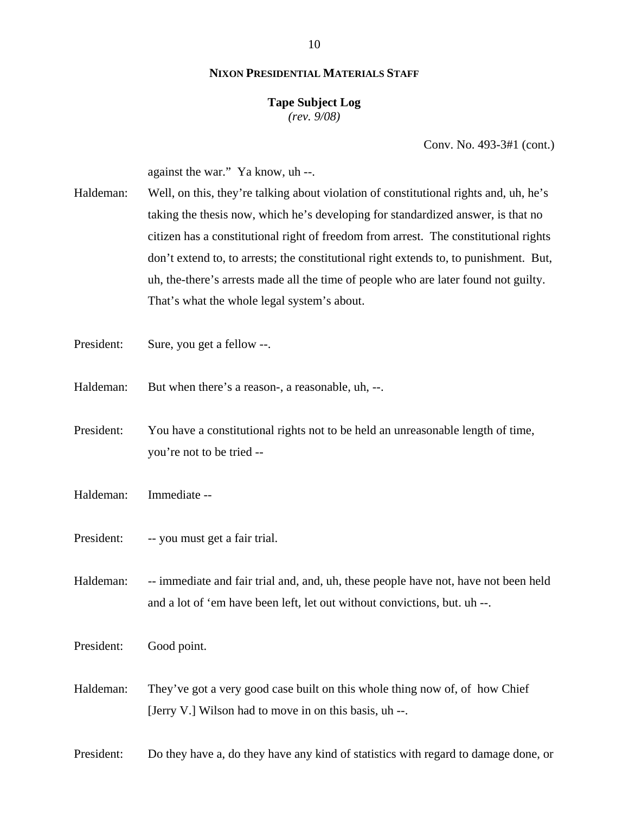10

# **NIXON PRESIDENTIAL MATERIALS STAFF**

### **Tape Subject Log** *(rev. 9/08)*

Conv. No. 493-3#1 (cont.)

against the war." Ya know, uh --.

- Haldeman: Well, on this, they're talking about violation of constitutional rights and, uh, he's taking the thesis now, which he's developing for standardized answer, is that no citizen has a constitutional right of freedom from arrest. The constitutional rights don't extend to, to arrests; the constitutional right extends to, to punishment. But, uh, the-there's arrests made all the time of people who are later found not guilty. That's what the whole legal system's about.
- President: Sure, you get a fellow --.
- Haldeman: But when there's a reason-, a reasonable, uh, --.
- President: You have a constitutional rights not to be held an unreasonable length of time, you're not to be tried --
- Haldeman: Immediate --
- President: -- you must get a fair trial.

Haldeman: -- immediate and fair trial and, and, uh, these people have not, have not been held and a lot of 'em have been left, let out without convictions, but. uh --.

President: Good point.

Haldeman: They've got a very good case built on this whole thing now of, of how Chief [Jerry V.] Wilson had to move in on this basis, uh --.

President: Do they have a, do they have any kind of statistics with regard to damage done, or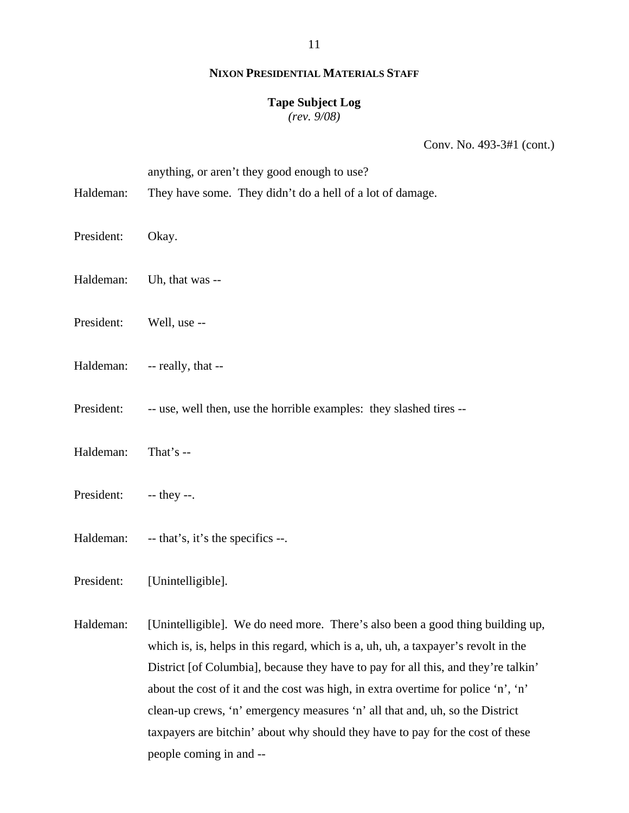# **Tape Subject Log**

*(rev. 9/08)*

Conv. No. 493-3#1 (cont.)

anything, or aren't they good enough to use?

- Haldeman: They have some. They didn't do a hell of a lot of damage.
- President: Okay.
- Haldeman: Uh, that was --
- President: Well, use --
- Haldeman: -- really, that --
- President: -- use, well then, use the horrible examples: they slashed tires --
- Haldeman: That's --
- President: -- they --.
- Haldeman: -- that's, it's the specifics --.

President: [Unintelligible].

Haldeman: [Unintelligible]. We do need more. There's also been a good thing building up, which is, is, helps in this regard, which is a, uh, uh, a taxpayer's revolt in the District [of Columbia], because they have to pay for all this, and they're talkin' about the cost of it and the cost was high, in extra overtime for police 'n', 'n' clean-up crews, 'n' emergency measures 'n' all that and, uh, so the District taxpayers are bitchin' about why should they have to pay for the cost of these people coming in and --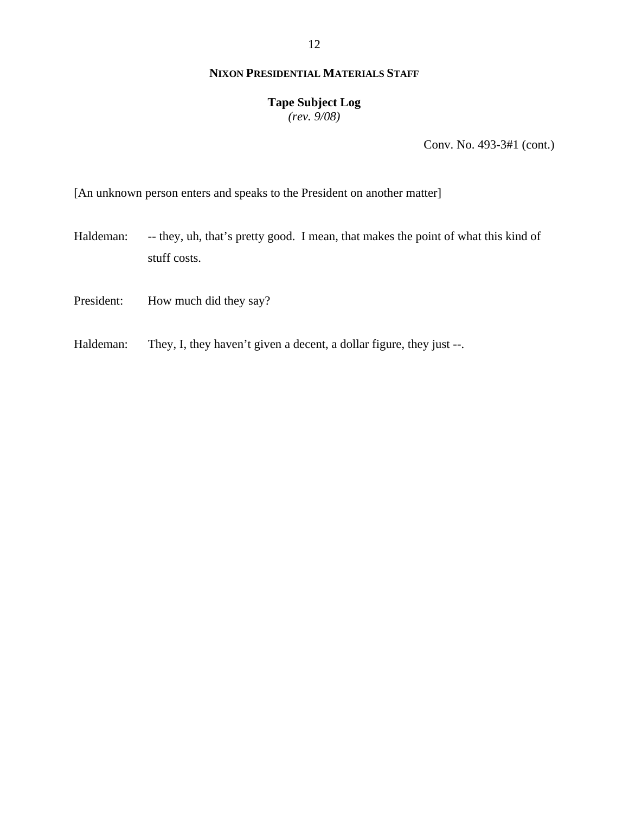# **Tape Subject Log**

*(rev. 9/08)*

Conv. No. 493-3#1 (cont.)

[An unknown person enters and speaks to the President on another matter]

- Haldeman: -- they, uh, that's pretty good. I mean, that makes the point of what this kind of stuff costs.
- President: How much did they say?
- Haldeman: They, I, they haven't given a decent, a dollar figure, they just --.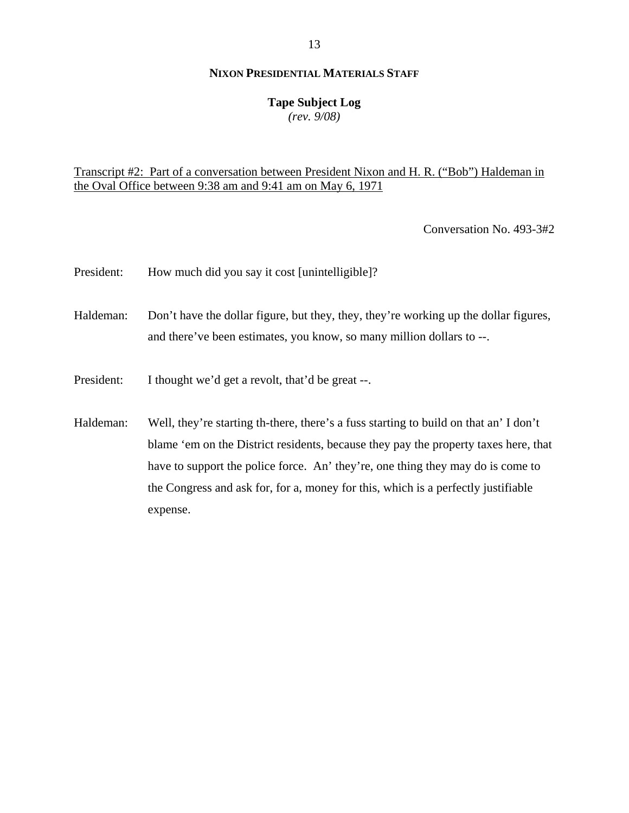# **Tape Subject Log**

*(rev. 9/08)*

# Transcript #2: Part of a conversation between President Nixon and H. R. ("Bob") Haldeman in the Oval Office between 9:38 am and 9:41 am on May 6, 1971

Conversation No. 493-3#2

- President: How much did you say it cost [unintelligible]?
- Haldeman: Don't have the dollar figure, but they, they, they're working up the dollar figures, and there've been estimates, you know, so many million dollars to --.
- President: I thought we'd get a revolt, that'd be great --.
- Haldeman: Well, they're starting th-there, there's a fuss starting to build on that an' I don't blame 'em on the District residents, because they pay the property taxes here, that have to support the police force. An' they're, one thing they may do is come to the Congress and ask for, for a, money for this, which is a perfectly justifiable expense.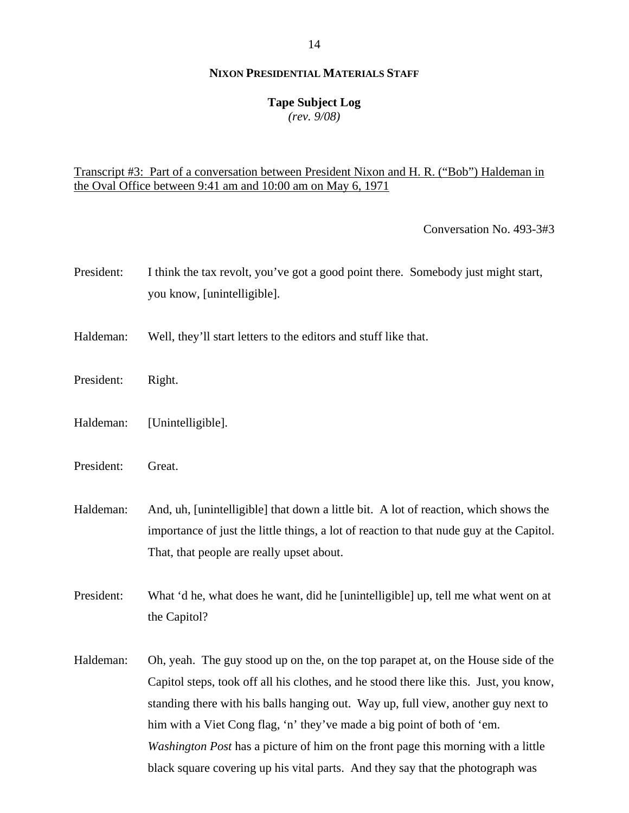# **Tape Subject Log**

*(rev. 9/08)*

# Transcript #3: Part of a conversation between President Nixon and H. R. ("Bob") Haldeman in the Oval Office between 9:41 am and 10:00 am on May 6, 1971

Conversation No. 493-3#3

- President: I think the tax revolt, you've got a good point there. Somebody just might start, you know, [unintelligible].
- Haldeman: Well, they'll start letters to the editors and stuff like that.
- President: Right.
- Haldeman: [Unintelligible].
- President: Great.

Haldeman: And, uh, [unintelligible] that down a little bit. A lot of reaction, which shows the importance of just the little things, a lot of reaction to that nude guy at the Capitol. That, that people are really upset about.

President: What 'd he, what does he want, did he [unintelligible] up, tell me what went on at the Capitol?

Haldeman: Oh, yeah. The guy stood up on the, on the top parapet at, on the House side of the Capitol steps, took off all his clothes, and he stood there like this. Just, you know, standing there with his balls hanging out. Way up, full view, another guy next to him with a Viet Cong flag, 'n' they've made a big point of both of 'em. *Washington Post* has a picture of him on the front page this morning with a little black square covering up his vital parts. And they say that the photograph was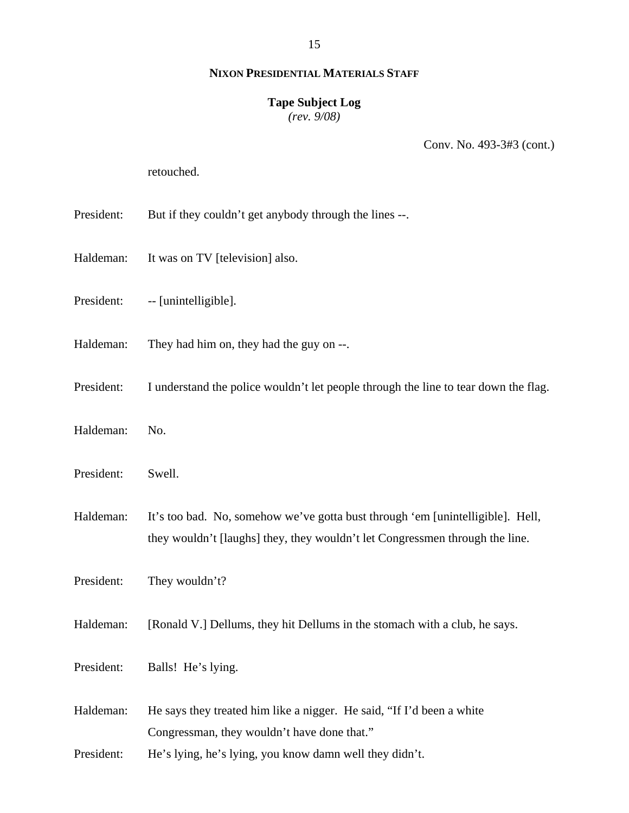# **Tape Subject Log**

*(rev. 9/08)*

Conv. No. 493-3#3 (cont.)

retouched.

- President: But if they couldn't get anybody through the lines --.
- Haldeman: It was on TV [television] also.
- President: -- [unintelligible].
- Haldeman: They had him on, they had the guy on --.
- President: I understand the police wouldn't let people through the line to tear down the flag.
- Haldeman: No.
- President: Swell.
- Haldeman: It's too bad. No, somehow we've gotta bust through 'em [unintelligible]. Hell, they wouldn't [laughs] they, they wouldn't let Congressmen through the line.

President: They wouldn't?

Haldeman: [Ronald V.] Dellums, they hit Dellums in the stomach with a club, he says.

- President: Balls! He's lying.
- Haldeman: He says they treated him like a nigger. He said, "If I'd been a white Congressman, they wouldn't have done that."
- President: He's lying, he's lying, you know damn well they didn't.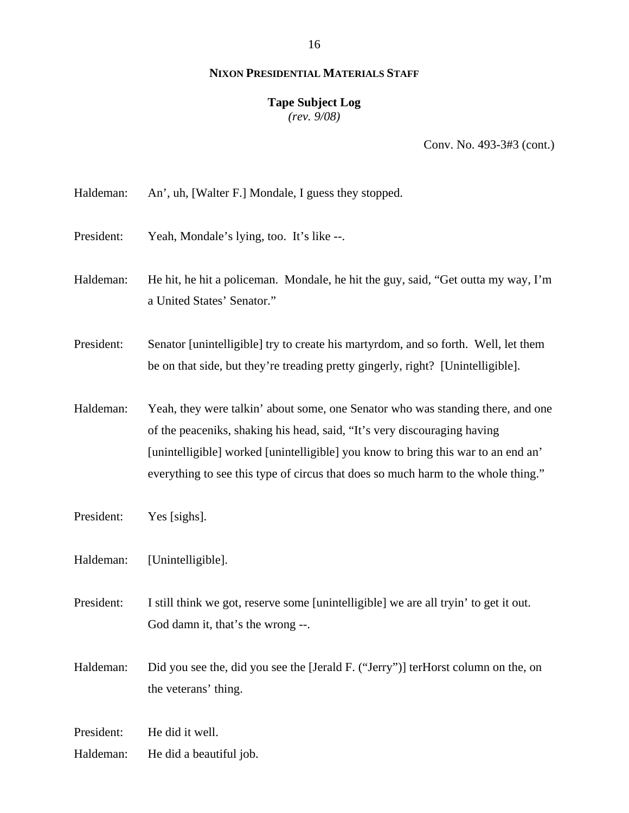# **Tape Subject Log**

*(rev. 9/08)*

Conv. No. 493-3#3 (cont.)

Haldeman: An', uh, [Walter F.] Mondale, I guess they stopped.

- President: Yeah, Mondale's lying, too. It's like --.
- Haldeman: He hit, he hit a policeman. Mondale, he hit the guy, said, "Get outta my way, I'm a United States' Senator."

President: Senator [unintelligible] try to create his martyrdom, and so forth. Well, let them be on that side, but they're treading pretty gingerly, right? [Unintelligible].

Haldeman: Yeah, they were talkin' about some, one Senator who was standing there, and one of the peaceniks, shaking his head, said, "It's very discouraging having [unintelligible] worked [unintelligible] you know to bring this war to an end an' everything to see this type of circus that does so much harm to the whole thing."

- President: Yes [sighs].
- Haldeman: [Unintelligible].
- President: I still think we got, reserve some [unintelligible] we are all tryin' to get it out. God damn it, that's the wrong --.

Haldeman: Did you see the, did you see the [Jerald F. ("Jerry")] terHorst column on the, on the veterans' thing.

President: He did it well.

Haldeman: He did a beautiful job.